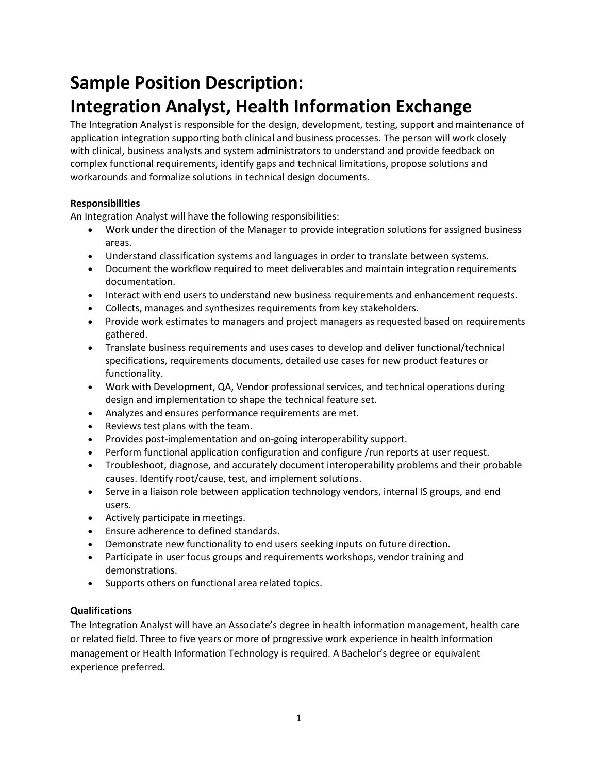## **Sample Position Description: Integration Analyst, Health Information Exchange**

The Integration Analyst is responsible for the design, development, testing, support and maintenance of application integration supporting both clinical and business processes. The person will work closely with clinical, business analysts and system administrators to understand and provide feedback on complex functional requirements, identify gaps and technical limitations, propose solutions and workarounds and formalize solutions in technical design documents.

## **Responsibilities**

An Integration Analyst will have the following responsibilities:

- Work under the direction of the Manager to provide integration solutions for assigned business areas.
- Understand classification systems and languages in order to translate between systems.
- Document the workflow required to meet deliverables and maintain integration requirements documentation.
- Interact with end users to understand new business requirements and enhancement requests.
- Collects, manages and synthesizes requirements from key stakeholders.
- Provide work estimates to managers and project managers as requested based on requirements gathered.
- Translate business requirements and uses cases to develop and deliver functional/technical specifications, requirements documents, detailed use cases for new product features or functionality.
- Work with Development, QA, Vendor professional services, and technical operations during design and implementation to shape the technical feature set.
- Analyzes and ensures performance requirements are met.
- Reviews test plans with the team.
- Provides post-implementation and on-going interoperability support.
- Perform functional application configuration and configure /run reports at user request.
- Troubleshoot, diagnose, and accurately document interoperability problems and their probable causes. Identify root/cause, test, and implement solutions.
- Serve in a liaison role between application technology vendors, internal IS groups, and end users.
- Actively participate in meetings.
- Ensure adherence to defined standards.
- Demonstrate new functionality to end users seeking inputs on future direction.
- Participate in user focus groups and requirements workshops, vendor training and demonstrations.
- Supports others on functional area related topics.

## **Qualifications**

The Integration Analyst will have an Associate's degree in health information management, health care or related field. Three to five years or more of progressive work experience in health information management or Health Information Technology is required. A Bachelor's degree or equivalent experience preferred.